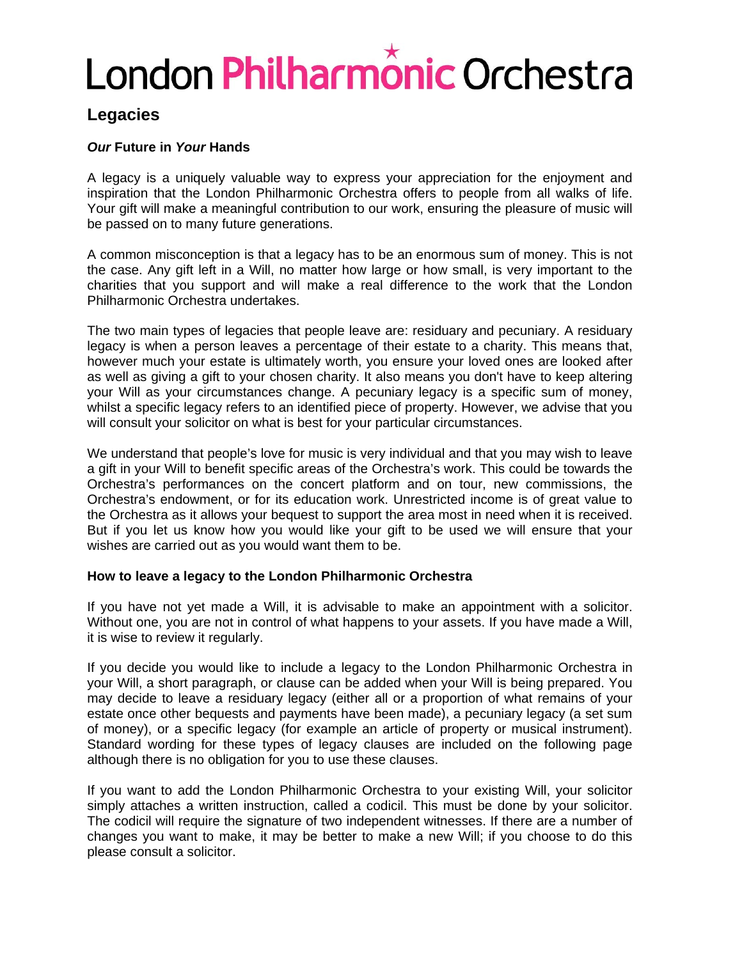# London Philharmônic Orchestra

# **Legacies**

## *Our* **Future in** *Your* **Hands**

A legacy is a uniquely valuable way to express your appreciation for the enjoyment and inspiration that the London Philharmonic Orchestra offers to people from all walks of life. Your gift will make a meaningful contribution to our work, ensuring the pleasure of music will be passed on to many future generations.

A common misconception is that a legacy has to be an enormous sum of money. This is not the case. Any gift left in a Will, no matter how large or how small, is very important to the charities that you support and will make a real difference to the work that the London Philharmonic Orchestra undertakes.

The two main types of legacies that people leave are: residuary and pecuniary. A residuary legacy is when a person leaves a percentage of their estate to a charity. This means that, however much your estate is ultimately worth, you ensure your loved ones are looked after as well as giving a gift to your chosen charity. It also means you don't have to keep altering your Will as your circumstances change. A pecuniary legacy is a specific sum of money, whilst a specific legacy refers to an identified piece of property. However, we advise that you will consult your solicitor on what is best for your particular circumstances.

We understand that people's love for music is very individual and that you may wish to leave a gift in your Will to benefit specific areas of the Orchestra's work. This could be towards the Orchestra's performances on the concert platform and on tour, new commissions, the Orchestra's endowment, or for its education work. Unrestricted income is of great value to the Orchestra as it allows your bequest to support the area most in need when it is received. But if you let us know how you would like your gift to be used we will ensure that your wishes are carried out as you would want them to be.

### **How to leave a legacy to the London Philharmonic Orchestra**

If you have not yet made a Will, it is advisable to make an appointment with a solicitor. Without one, you are not in control of what happens to your assets. If you have made a Will, it is wise to review it regularly.

If you decide you would like to include a legacy to the London Philharmonic Orchestra in your Will, a short paragraph, or clause can be added when your Will is being prepared. You may decide to leave a residuary legacy (either all or a proportion of what remains of your estate once other bequests and payments have been made), a pecuniary legacy (a set sum of money), or a specific legacy (for example an article of property or musical instrument). Standard wording for these types of legacy clauses are included on the following page although there is no obligation for you to use these clauses.

If you want to add the London Philharmonic Orchestra to your existing Will, your solicitor simply attaches a written instruction, called a codicil. This must be done by your solicitor. The codicil will require the signature of two independent witnesses. If there are a number of changes you want to make, it may be better to make a new Will; if you choose to do this please consult a solicitor.